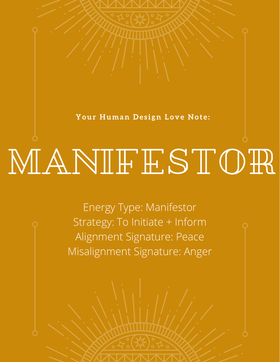Your Human Design Love Note:

## MANIFESTOR

Energy Type: Manifestor Strategy: To Initiate + Inform Alignment Signature: Peace Misalignment Signature: Anger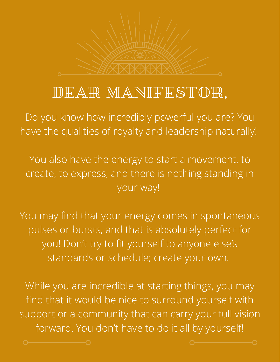

## DEAR MANIFESTOR,

Do you know how incredibly powerful you are? You have the qualities of royalty and leadership naturally!

You also have the energy to start a movement, to create, to express, and there is nothing standing in your way!

You may find that your energy comes in spontaneous pulses or bursts, and that is absolutely perfect for you! Don't try to fit yourself to anyone else's standards or schedule; create your own.

While you are incredible at starting things, you may find that it would be nice to surround yourself with support or a community that can carry your full vision forward. You don't have to do it all by yourself!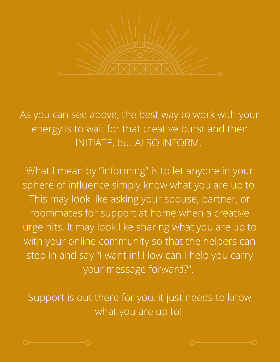

As you can see above, the best way to work with your energy is to wait for that creative burst and then INITIATE, but ALSO INFORM.

What I mean by "informing" is to let anyone in your sphere of influence simply know what you are up to. This may look like asking your spouse, partner, or roommates for support at home when a creative urge hits. It may look like sharing what you are up to with your online community so that the helpers can step in and say "I want in! How can I help you carry your message forward?".

Support is out there for you, it just needs to know what you are up to!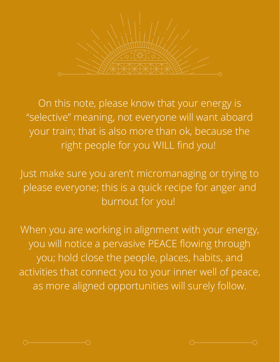

On this note, please know that your energy is "selective" meaning, not everyone will want aboard your train; that is also more than ok, because the right people for you WILL find you!

Just make sure you aren't micromanaging or trying to please everyone; this is a quick recipe for anger and burnout for you!

When you are working in alignment with your energy, you will notice a pervasive PEACE flowing through you; hold close the people, places, habits, and activities that connect you to your inner well of peace, as more aligned opportunities will surely follow.